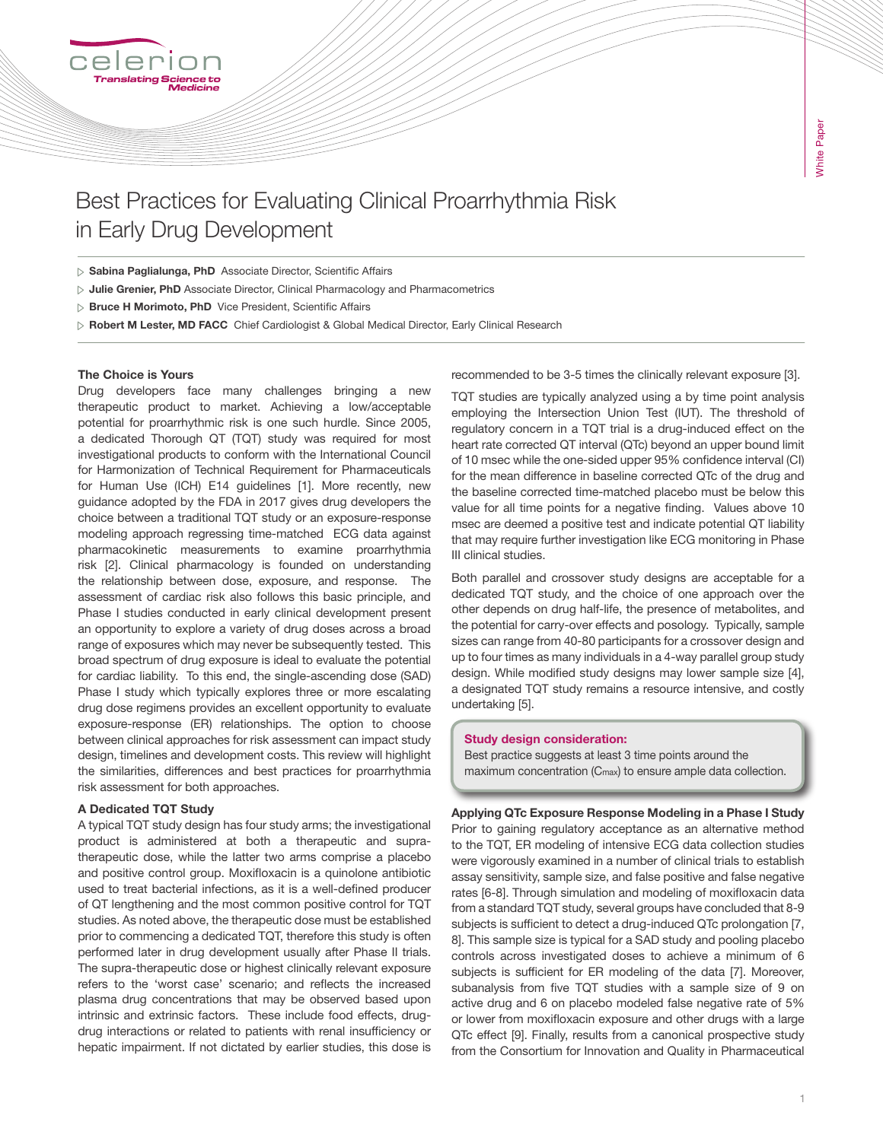# Best Practices for Evaluating Clinical Proarrhythmia Risk in Early Drug Development

 $\triangleright$  Sabina Paglialunga, PhD Associate Director, Scientific Affairs

- $\triangleright$  Julie Grenier, PhD Associate Director, Clinical Pharmacology and Pharmacometrics
- **Bruce H Morimoto, PhD** Vice President, Scientific Affairs

> Robert M Lester, MD FACC Chief Cardiologist & Global Medical Director, Early Clinical Research

#### The Choice is Yours

Drug developers face many challenges bringing a new therapeutic product to market. Achieving a low/acceptable potential for proarrhythmic risk is one such hurdle. Since 2005, a dedicated Thorough QT (TQT) study was required for most investigational products to conform with the International Council for Harmonization of Technical Requirement for Pharmaceuticals for Human Use (ICH) E14 guidelines [1]. More recently, new guidance adopted by the FDA in 2017 gives drug developers the choice between a traditional TQT study or an exposure-response modeling approach regressing time-matched ECG data against pharmacokinetic measurements to examine proarrhythmia risk [2]. Clinical pharmacology is founded on understanding the relationship between dose, exposure, and response. The assessment of cardiac risk also follows this basic principle, and Phase I studies conducted in early clinical development present an opportunity to explore a variety of drug doses across a broad range of exposures which may never be subsequently tested. This broad spectrum of drug exposure is ideal to evaluate the potential for cardiac liability. To this end, the single-ascending dose (SAD) Phase I study which typically explores three or more escalating drug dose regimens provides an excellent opportunity to evaluate exposure-response (ER) relationships. The option to choose between clinical approaches for risk assessment can impact study design, timelines and development costs. This review will highlight the similarities, differences and best practices for proarrhythmia risk assessment for both approaches.

### A Dedicated TQT Study

A typical TQT study design has four study arms; the investigational product is administered at both a therapeutic and supratherapeutic dose, while the latter two arms comprise a placebo and positive control group. Moxifloxacin is a quinolone antibiotic used to treat bacterial infections, as it is a well-defined producer of QT lengthening and the most common positive control for TQT studies. As noted above, the therapeutic dose must be established prior to commencing a dedicated TQT, therefore this study is often performed later in drug development usually after Phase II trials. The supra-therapeutic dose or highest clinically relevant exposure refers to the 'worst case' scenario; and reflects the increased plasma drug concentrations that may be observed based upon intrinsic and extrinsic factors. These include food effects, drugdrug interactions or related to patients with renal insufficiency or hepatic impairment. If not dictated by earlier studies, this dose is recommended to be 3-5 times the clinically relevant exposure [3].

TQT studies are typically analyzed using a by time point analysis employing the Intersection Union Test (IUT). The threshold of regulatory concern in a TQT trial is a drug-induced effect on the heart rate corrected QT interval (QTc) beyond an upper bound limit of 10 msec while the one-sided upper 95% confidence interval (CI) for the mean difference in baseline corrected QTc of the drug and the baseline corrected time-matched placebo must be below this value for all time points for a negative finding. Values above 10 msec are deemed a positive test and indicate potential QT liability that may require further investigation like ECG monitoring in Phase III clinical studies.

Both parallel and crossover study designs are acceptable for a dedicated TQT study, and the choice of one approach over the other depends on drug half-life, the presence of metabolites, and the potential for carry-over effects and posology. Typically, sample sizes can range from 40-80 participants for a crossover design and up to four times as many individuals in a 4-way parallel group study design. While modified study designs may lower sample size [4], a designated TQT study remains a resource intensive, and costly undertaking [5].

#### Study design consideration:

Best practice suggests at least 3 time points around the maximum concentration (Cmax) to ensure ample data collection.

Applying QTc Exposure Response Modeling in a Phase I Study Prior to gaining regulatory acceptance as an alternative method to the TQT, ER modeling of intensive ECG data collection studies were vigorously examined in a number of clinical trials to establish assay sensitivity, sample size, and false positive and false negative rates [6-8]. Through simulation and modeling of moxifloxacin data from a standard TQT study, several groups have concluded that 8-9 subjects is sufficient to detect a drug-induced QTc prolongation [7, 8]. This sample size is typical for a SAD study and pooling placebo controls across investigated doses to achieve a minimum of 6 subjects is sufficient for ER modeling of the data [7]. Moreover, subanalysis from five TQT studies with a sample size of 9 on active drug and 6 on placebo modeled false negative rate of 5% or lower from moxifloxacin exposure and other drugs with a large QTc effect [9]. Finally, results from a canonical prospective study from the Consortium for Innovation and Quality in Pharmaceutical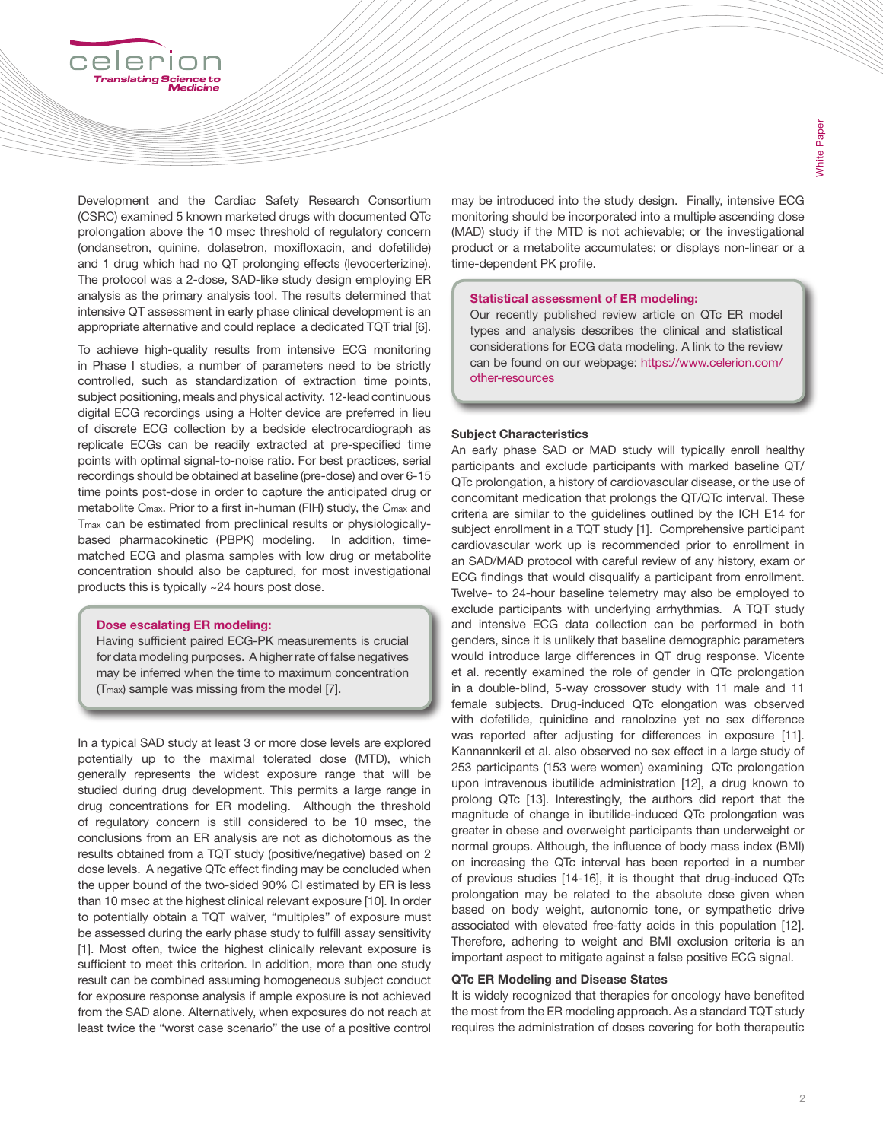Development and the Cardiac Safety Research Consortium (CSRC) examined 5 known marketed drugs with documented QTc prolongation above the 10 msec threshold of regulatory concern (ondansetron, quinine, dolasetron, moxifloxacin, and dofetilide) and 1 drug which had no QT prolonging effects (levocerterizine). The protocol was a 2-dose, SAD-like study design employing ER analysis as the primary analysis tool. The results determined that intensive QT assessment in early phase clinical development is an appropriate alternative and could replace a dedicated TQT trial [6].

To achieve high-quality results from intensive ECG monitoring in Phase I studies, a number of parameters need to be strictly controlled, such as standardization of extraction time points, subject positioning, meals and physical activity. 12-lead continuous digital ECG recordings using a Holter device are preferred in lieu of discrete ECG collection by a bedside electrocardiograph as replicate ECGs can be readily extracted at pre-specified time points with optimal signal-to-noise ratio. For best practices, serial recordings should be obtained at baseline (pre-dose) and over 6-15 time points post-dose in order to capture the anticipated drug or metabolite Cmax. Prior to a first in-human (FIH) study, the Cmax and Tmax can be estimated from preclinical results or physiologicallybased pharmacokinetic (PBPK) modeling. In addition, timematched ECG and plasma samples with low drug or metabolite concentration should also be captured, for most investigational products this is typically ~24 hours post dose.

## Dose escalating ER modeling:

Having sufficient paired ECG-PK measurements is crucial for data modeling purposes. A higher rate of false negatives may be inferred when the time to maximum concentration (Tmax) sample was missing from the model [7].

In a typical SAD study at least 3 or more dose levels are explored potentially up to the maximal tolerated dose (MTD), which generally represents the widest exposure range that will be studied during drug development. This permits a large range in drug concentrations for ER modeling. Although the threshold of regulatory concern is still considered to be 10 msec, the conclusions from an ER analysis are not as dichotomous as the results obtained from a TQT study (positive/negative) based on 2 dose levels. A negative QTc effect finding may be concluded when the upper bound of the two-sided 90% CI estimated by ER is less than 10 msec at the highest clinical relevant exposure [10]. In order to potentially obtain a TQT waiver, "multiples" of exposure must be assessed during the early phase study to fulfill assay sensitivity [1]. Most often, twice the highest clinically relevant exposure is sufficient to meet this criterion. In addition, more than one study result can be combined assuming homogeneous subject conduct for exposure response analysis if ample exposure is not achieved from the SAD alone. Alternatively, when exposures do not reach at least twice the "worst case scenario" the use of a positive control may be introduced into the study design. Finally, intensive ECG monitoring should be incorporated into a multiple ascending dose (MAD) study if the MTD is not achievable; or the investigational product or a metabolite accumulates; or displays non-linear or a time-dependent PK profile.

#### Statistical assessment of ER modeling:

Our recently published review article on QTc ER model types and analysis describes the clinical and statistical considerations for ECG data modeling. A link to the review can be found on our webpage: https://www.celerion.com/ other-resources

# Subject Characteristics

An early phase SAD or MAD study will typically enroll healthy participants and exclude participants with marked baseline QT/ QTc prolongation, a history of cardiovascular disease, or the use of concomitant medication that prolongs the QT/QTc interval. These criteria are similar to the guidelines outlined by the ICH E14 for subject enrollment in a TQT study [1]. Comprehensive participant cardiovascular work up is recommended prior to enrollment in an SAD/MAD protocol with careful review of any history, exam or ECG findings that would disqualify a participant from enrollment. Twelve- to 24-hour baseline telemetry may also be employed to exclude participants with underlying arrhythmias. A TQT study and intensive ECG data collection can be performed in both genders, since it is unlikely that baseline demographic parameters would introduce large differences in QT drug response. Vicente et al. recently examined the role of gender in QTc prolongation in a double-blind, 5-way crossover study with 11 male and 11 female subjects. Drug-induced QTc elongation was observed with dofetilide, quinidine and ranolozine yet no sex difference was reported after adjusting for differences in exposure [11]. Kannannkeril et al. also observed no sex effect in a large study of 253 participants (153 were women) examining QTc prolongation upon intravenous ibutilide administration [12], a drug known to prolong QTc [13]. Interestingly, the authors did report that the magnitude of change in ibutilide-induced QTc prolongation was greater in obese and overweight participants than underweight or normal groups. Although, the influence of body mass index (BMI) on increasing the QTc interval has been reported in a number of previous studies [14-16], it is thought that drug-induced QTc prolongation may be related to the absolute dose given when based on body weight, autonomic tone, or sympathetic drive associated with elevated free-fatty acids in this population [12]. Therefore, adhering to weight and BMI exclusion criteria is an important aspect to mitigate against a false positive ECG signal.

#### QTc ER Modeling and Disease States

It is widely recognized that therapies for oncology have benefited the most from the ER modeling approach. As a standard TQT study requires the administration of doses covering for both therapeutic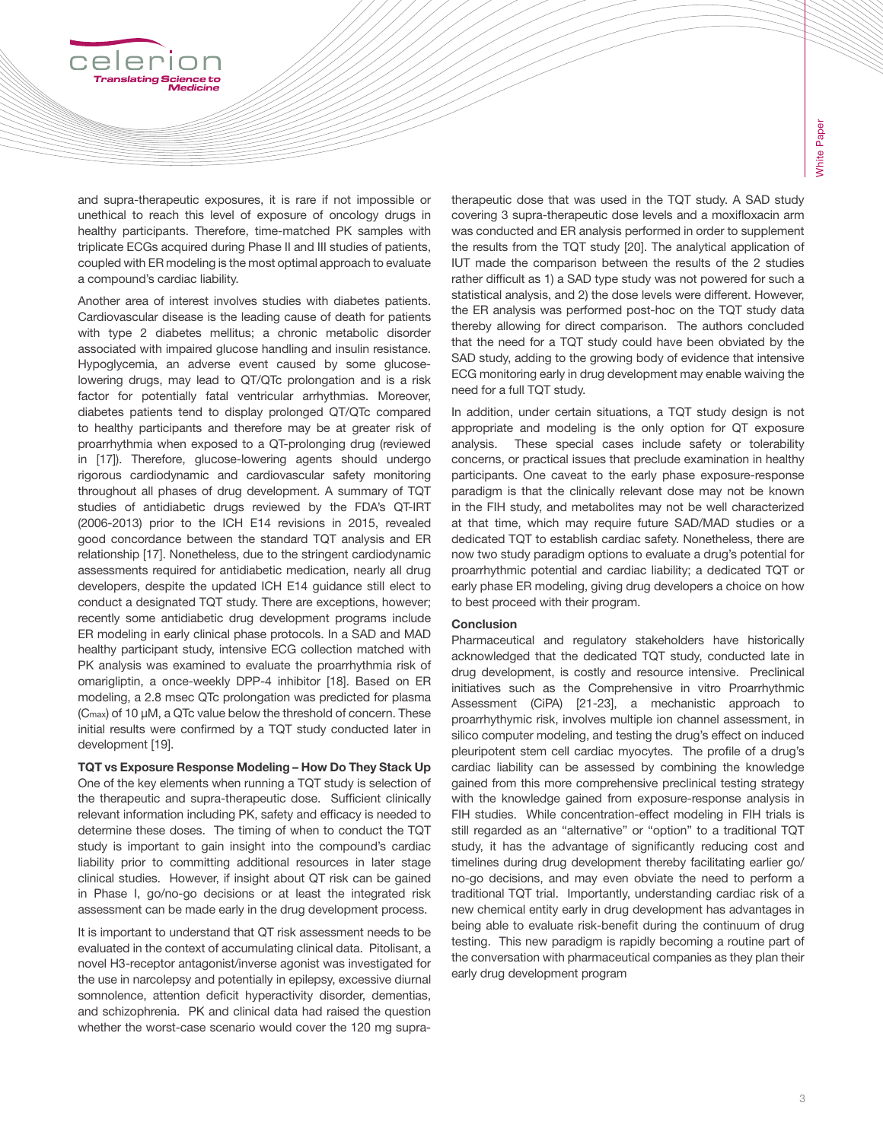and supra-therapeutic exposures, it is rare if not impossible or unethical to reach this level of exposure of oncology drugs in healthy participants. Therefore, time-matched PK samples with triplicate ECGs acquired during Phase II and III studies of patients, coupled with ER modeling is the most optimal approach to evaluate a compound's cardiac liability.

Another area of interest involves studies with diabetes patients. Cardiovascular disease is the leading cause of death for patients with type 2 diabetes mellitus; a chronic metabolic disorder associated with impaired glucose handling and insulin resistance. Hypoglycemia, an adverse event caused by some glucoselowering drugs, may lead to QT/QTc prolongation and is a risk factor for potentially fatal ventricular arrhythmias. Moreover, diabetes patients tend to display prolonged QT/QTc compared to healthy participants and therefore may be at greater risk of proarrhythmia when exposed to a QT-prolonging drug (reviewed in [17]). Therefore, glucose-lowering agents should undergo rigorous cardiodynamic and cardiovascular safety monitoring throughout all phases of drug development. A summary of TQT studies of antidiabetic drugs reviewed by the FDA's QT-IRT (2006-2013) prior to the ICH E14 revisions in 2015, revealed good concordance between the standard TQT analysis and ER relationship [17]. Nonetheless, due to the stringent cardiodynamic assessments required for antidiabetic medication, nearly all drug developers, despite the updated ICH E14 guidance still elect to conduct a designated TQT study. There are exceptions, however; recently some antidiabetic drug development programs include ER modeling in early clinical phase protocols. In a SAD and MAD healthy participant study, intensive ECG collection matched with PK analysis was examined to evaluate the proarrhythmia risk of omarigliptin, a once-weekly DPP-4 inhibitor [18]. Based on ER modeling, a 2.8 msec QTc prolongation was predicted for plasma (Cmax) of 10 μM, a QTc value below the threshold of concern. These initial results were confirmed by a TQT study conducted later in development [19].

TQT vs Exposure Response Modeling – How Do They Stack Up One of the key elements when running a TQT study is selection of the therapeutic and supra-therapeutic dose. Sufficient clinically relevant information including PK, safety and efficacy is needed to determine these doses. The timing of when to conduct the TQT study is important to gain insight into the compound's cardiac liability prior to committing additional resources in later stage clinical studies. However, if insight about QT risk can be gained in Phase I, go/no-go decisions or at least the integrated risk assessment can be made early in the drug development process.

It is important to understand that QT risk assessment needs to be evaluated in the context of accumulating clinical data. Pitolisant, a novel H3-receptor antagonist/inverse agonist was investigated for the use in narcolepsy and potentially in epilepsy, excessive diurnal somnolence, attention deficit hyperactivity disorder, dementias, and schizophrenia. PK and clinical data had raised the question whether the worst-case scenario would cover the 120 mg supratherapeutic dose that was used in the TQT study. A SAD study covering 3 supra-therapeutic dose levels and a moxifloxacin arm was conducted and ER analysis performed in order to supplement the results from the TQT study [20]. The analytical application of IUT made the comparison between the results of the 2 studies rather difficult as 1) a SAD type study was not powered for such a statistical analysis, and 2) the dose levels were different. However, the ER analysis was performed post-hoc on the TQT study data thereby allowing for direct comparison. The authors concluded that the need for a TQT study could have been obviated by the SAD study, adding to the growing body of evidence that intensive ECG monitoring early in drug development may enable waiving the need for a full TQT study.

In addition, under certain situations, a TQT study design is not appropriate and modeling is the only option for QT exposure analysis. These special cases include safety or tolerability concerns, or practical issues that preclude examination in healthy participants. One caveat to the early phase exposure-response paradigm is that the clinically relevant dose may not be known in the FIH study, and metabolites may not be well characterized at that time, which may require future SAD/MAD studies or a dedicated TQT to establish cardiac safety. Nonetheless, there are now two study paradigm options to evaluate a drug's potential for proarrhythmic potential and cardiac liability; a dedicated TQT or early phase ER modeling, giving drug developers a choice on how to best proceed with their program.

# **Conclusion**

Pharmaceutical and regulatory stakeholders have historically acknowledged that the dedicated TQT study, conducted late in drug development, is costly and resource intensive. Preclinical initiatives such as the Comprehensive in vitro Proarrhythmic Assessment (CiPA) [21-23], a mechanistic approach to proarrhythymic risk, involves multiple ion channel assessment, in silico computer modeling, and testing the drug's effect on induced pleuripotent stem cell cardiac myocytes. The profile of a drug's cardiac liability can be assessed by combining the knowledge gained from this more comprehensive preclinical testing strategy with the knowledge gained from exposure-response analysis in FIH studies. While concentration-effect modeling in FIH trials is still regarded as an "alternative" or "option" to a traditional TQT study, it has the advantage of significantly reducing cost and timelines during drug development thereby facilitating earlier go/ no-go decisions, and may even obviate the need to perform a traditional TQT trial. Importantly, understanding cardiac risk of a new chemical entity early in drug development has advantages in being able to evaluate risk-benefit during the continuum of drug testing. This new paradigm is rapidly becoming a routine part of the conversation with pharmaceutical companies as they plan their early drug development program